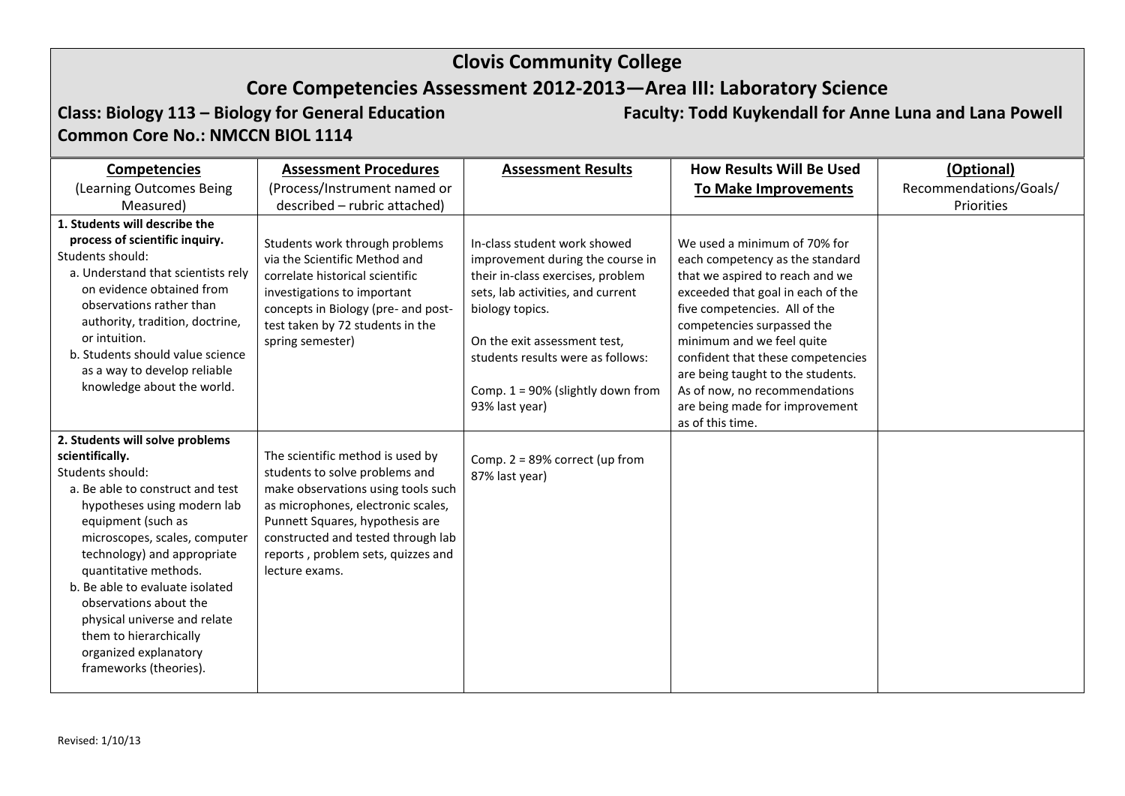### **Core Competencies Assessment 2012-2013—Area III: Laboratory Science**

**Common Core No.: NMCCN BIOL 1114**

**Class: Biology 113 – Biology for General Education Faculty: Todd Kuykendall for Anne Luna and Lana Powell**

### **Competencies** (Learning Outcomes Being Measured) **Assessment Procedures** (Process/Instrument named or described – rubric attached) **Assessment Results How Results Will Be Used To Make Improvements (Optional)** Recommendations/Goals/ Priorities **1. Students will describe the process of scientific inquiry.**  Students should: a. Understand that scientists rely on evidence obtained from observations rather than authority, tradition, doctrine, or intuition. b. Students should value science as a way to develop reliable knowledge about the world. Students work through problems via the Scientific Method and correlate historical scientific investigations to important concepts in Biology (pre- and posttest taken by 72 students in the spring semester) In-class student work showed improvement during the course in their in-class exercises, problem sets, lab activities, and current biology topics. On the exit assessment test, students results were as follows: Comp. 1 = 90% (slightly down from 93% last year) We used a minimum of 70% for each competency as the standard that we aspired to reach and we exceeded that goal in each of the five competencies. All of the competencies surpassed the minimum and we feel quite confident that these competencies are being taught to the students. As of now, no recommendations are being made for improvement as of this time. **2. Students will solve problems scientifically.** Students should: a. Be able to construct and test hypotheses using modern lab equipment (such as microscopes, scales, computer technology) and appropriate quantitative methods. b. Be able to evaluate isolated observations about the physical universe and relate them to hierarchically organized explanatory frameworks (theories). The scientific method is used by students to solve problems and make observations using tools such as microphones, electronic scales, Punnett Squares, hypothesis are constructed and tested through lab reports , problem sets, quizzes and lecture exams. Comp. 2 = 89% correct (up from 87% last year)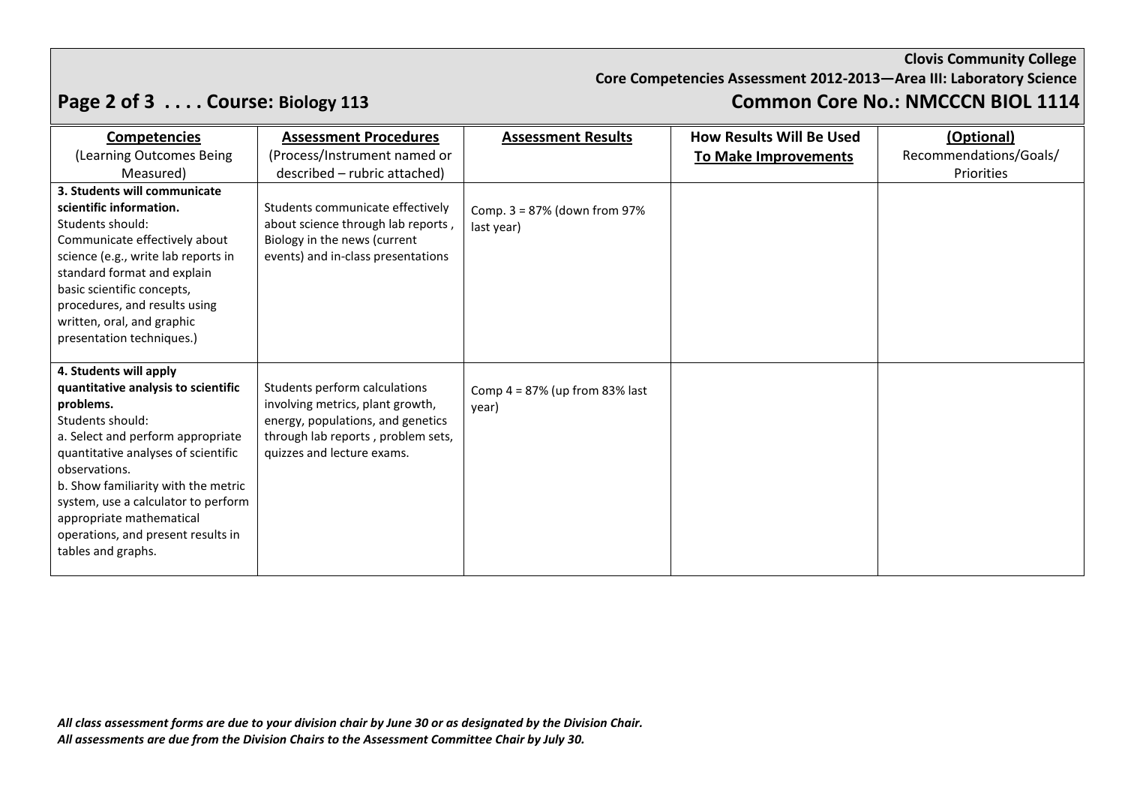**Core Competencies Assessment 2012-2013—Area III: Laboratory Science**

# **Page 2 of 3 . . . . Course: Biology 113 Common Core No.: NMCCCN BIOL 1114**

| <b>Competencies</b>                                                  | <b>Assessment Procedures</b>                                       | <b>Assessment Results</b>                  | <b>How Results Will Be Used</b> | (Optional)             |
|----------------------------------------------------------------------|--------------------------------------------------------------------|--------------------------------------------|---------------------------------|------------------------|
| (Learning Outcomes Being                                             | (Process/Instrument named or                                       |                                            | To Make Improvements            | Recommendations/Goals/ |
| Measured)                                                            | described - rubric attached)                                       |                                            |                                 | Priorities             |
| 3. Students will communicate                                         |                                                                    |                                            |                                 |                        |
| scientific information.                                              | Students communicate effectively                                   | Comp. $3 = 87%$ (down from 97%             |                                 |                        |
| Students should:                                                     | about science through lab reports,                                 | last year)                                 |                                 |                        |
| Communicate effectively about<br>science (e.g., write lab reports in | Biology in the news (current<br>events) and in-class presentations |                                            |                                 |                        |
| standard format and explain                                          |                                                                    |                                            |                                 |                        |
| basic scientific concepts,                                           |                                                                    |                                            |                                 |                        |
| procedures, and results using                                        |                                                                    |                                            |                                 |                        |
| written, oral, and graphic                                           |                                                                    |                                            |                                 |                        |
| presentation techniques.)                                            |                                                                    |                                            |                                 |                        |
|                                                                      |                                                                    |                                            |                                 |                        |
| 4. Students will apply<br>quantitative analysis to scientific        | Students perform calculations                                      |                                            |                                 |                        |
| problems.                                                            | involving metrics, plant growth,                                   | Comp $4 = 87\%$ (up from 83% last<br>year) |                                 |                        |
| Students should:                                                     | energy, populations, and genetics                                  |                                            |                                 |                        |
| a. Select and perform appropriate                                    | through lab reports, problem sets,                                 |                                            |                                 |                        |
| quantitative analyses of scientific<br>observations.                 | quizzes and lecture exams.                                         |                                            |                                 |                        |
| b. Show familiarity with the metric                                  |                                                                    |                                            |                                 |                        |
| system, use a calculator to perform                                  |                                                                    |                                            |                                 |                        |
| appropriate mathematical                                             |                                                                    |                                            |                                 |                        |
| operations, and present results in                                   |                                                                    |                                            |                                 |                        |
| tables and graphs.                                                   |                                                                    |                                            |                                 |                        |
|                                                                      |                                                                    |                                            |                                 |                        |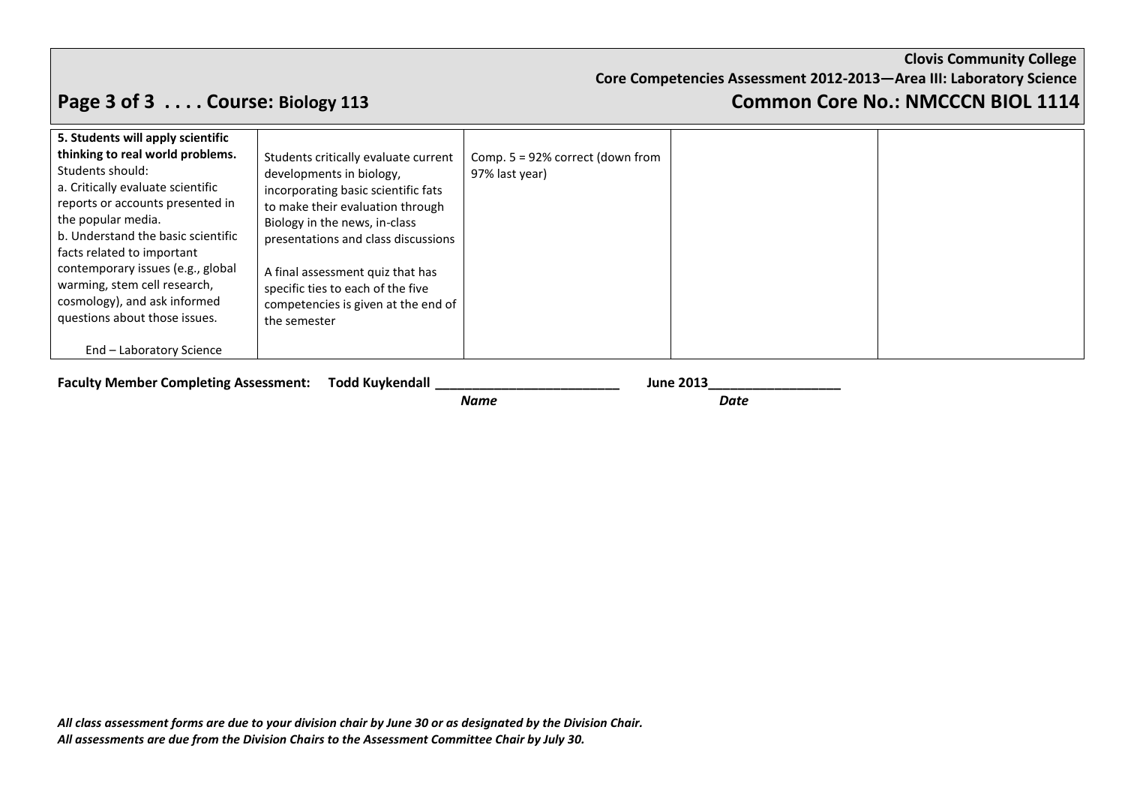**Clovis Community College Core Competencies Assessment 2012-2013—Area III: Laboratory Science**

# **Page 3 of 3 . . . . Course: Biology 113 Common Core No.: NMCCCN BIOL 1114**

| <b>Faculty Member Completing Assessment: Todd Kuykendall</b> | <b>June 2013</b> |  |
|--------------------------------------------------------------|------------------|--|
|                                                              | Date<br>Name     |  |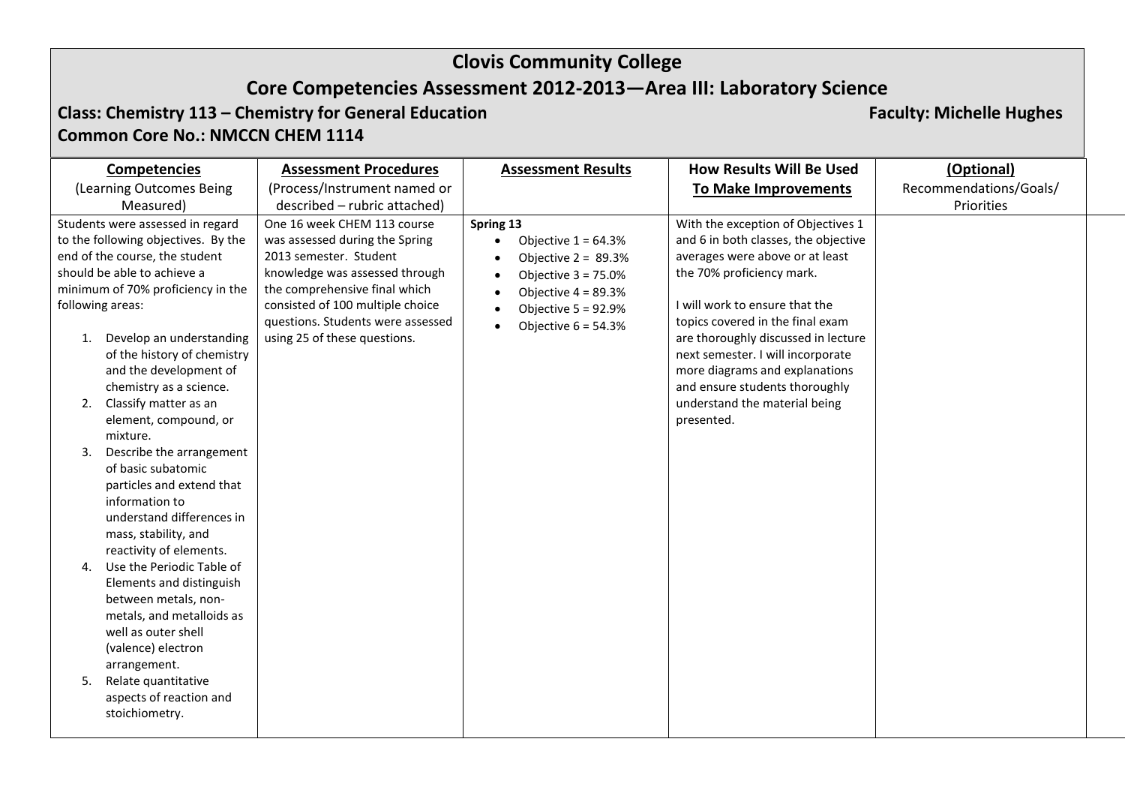# **Core Competencies Assessment 2012-2013—Area III: Laboratory Science**

### **Class: Chemistry 113 – Chemistry for General Education Faculty: Michelle Hughes Faculty: Michelle Hughes Common Core No.: NMCCN CHEM 1114**

| <b>Competencies</b>                                                                                                                                                                                                                                                                                                                                                                                                                                                                                                                                                                                                                                                                                                           | <b>Assessment Procedures</b>                                                                                                                                                                                                                                        | <b>Assessment Results</b>                                                                                                                                         | <b>How Results Will Be Used</b>                                                                                                                                                                                                                                                                                                                                                                                 | (Optional)             |
|-------------------------------------------------------------------------------------------------------------------------------------------------------------------------------------------------------------------------------------------------------------------------------------------------------------------------------------------------------------------------------------------------------------------------------------------------------------------------------------------------------------------------------------------------------------------------------------------------------------------------------------------------------------------------------------------------------------------------------|---------------------------------------------------------------------------------------------------------------------------------------------------------------------------------------------------------------------------------------------------------------------|-------------------------------------------------------------------------------------------------------------------------------------------------------------------|-----------------------------------------------------------------------------------------------------------------------------------------------------------------------------------------------------------------------------------------------------------------------------------------------------------------------------------------------------------------------------------------------------------------|------------------------|
| (Learning Outcomes Being                                                                                                                                                                                                                                                                                                                                                                                                                                                                                                                                                                                                                                                                                                      | (Process/Instrument named or                                                                                                                                                                                                                                        |                                                                                                                                                                   | <b>To Make Improvements</b>                                                                                                                                                                                                                                                                                                                                                                                     | Recommendations/Goals/ |
| Measured)                                                                                                                                                                                                                                                                                                                                                                                                                                                                                                                                                                                                                                                                                                                     | described - rubric attached)                                                                                                                                                                                                                                        |                                                                                                                                                                   |                                                                                                                                                                                                                                                                                                                                                                                                                 | Priorities             |
| Students were assessed in regard<br>to the following objectives. By the<br>end of the course, the student<br>should be able to achieve a<br>minimum of 70% proficiency in the<br>following areas:<br>Develop an understanding<br>1.<br>of the history of chemistry<br>and the development of<br>chemistry as a science.<br>Classify matter as an<br>2.<br>element, compound, or<br>mixture.<br>Describe the arrangement<br>3.<br>of basic subatomic<br>particles and extend that<br>information to<br>understand differences in<br>mass, stability, and<br>reactivity of elements.<br>Use the Periodic Table of<br>4.<br>Elements and distinguish<br>between metals, non-<br>metals, and metalloids as<br>well as outer shell | One 16 week CHEM 113 course<br>was assessed during the Spring<br>2013 semester. Student<br>knowledge was assessed through<br>the comprehensive final which<br>consisted of 100 multiple choice<br>questions. Students were assessed<br>using 25 of these questions. | Spring 13<br>Objective $1 = 64.3%$<br>Objective $2 = 89.3\%$<br>Objective $3 = 75.0\%$<br>Objective $4 = 89.3%$<br>Objective $5 = 92.9%$<br>Objective $6 = 54.3%$ | With the exception of Objectives 1<br>and 6 in both classes, the objective<br>averages were above or at least<br>the 70% proficiency mark.<br>I will work to ensure that the<br>topics covered in the final exam<br>are thoroughly discussed in lecture<br>next semester. I will incorporate<br>more diagrams and explanations<br>and ensure students thoroughly<br>understand the material being<br>presented. |                        |
| (valence) electron<br>arrangement.<br>Relate quantitative<br>5.<br>aspects of reaction and<br>stoichiometry.                                                                                                                                                                                                                                                                                                                                                                                                                                                                                                                                                                                                                  |                                                                                                                                                                                                                                                                     |                                                                                                                                                                   |                                                                                                                                                                                                                                                                                                                                                                                                                 |                        |
|                                                                                                                                                                                                                                                                                                                                                                                                                                                                                                                                                                                                                                                                                                                               |                                                                                                                                                                                                                                                                     |                                                                                                                                                                   |                                                                                                                                                                                                                                                                                                                                                                                                                 |                        |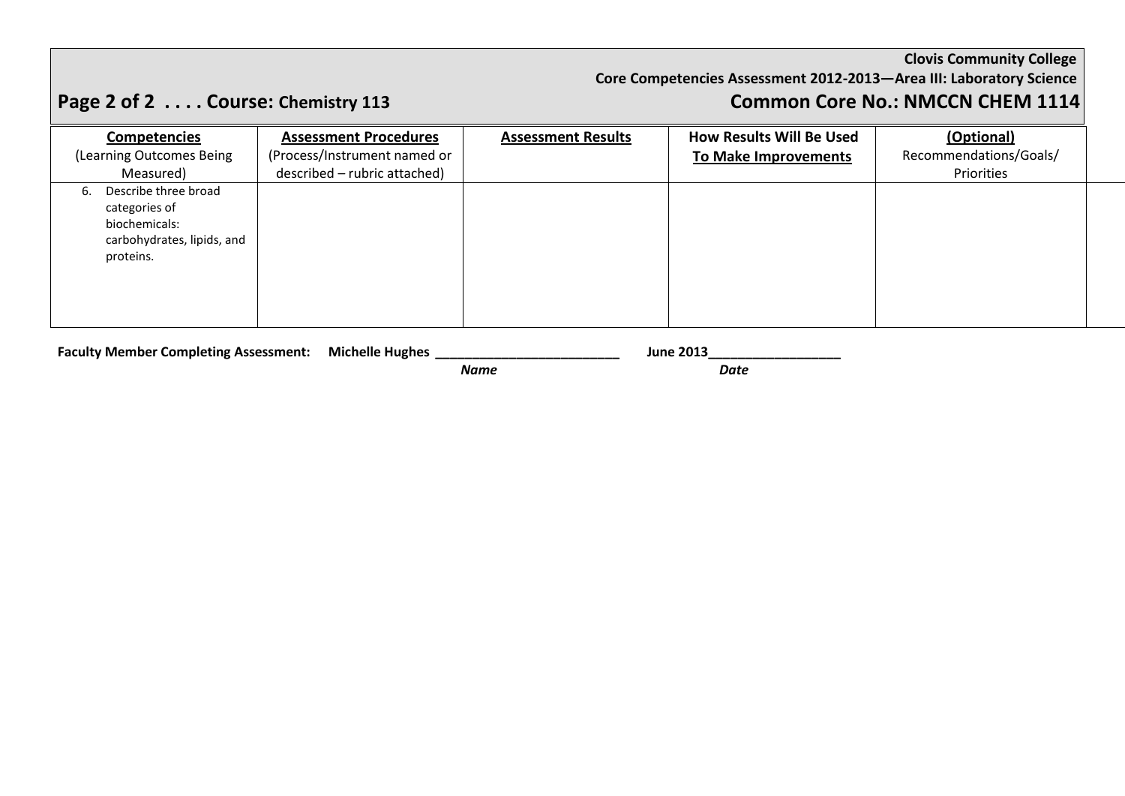### **Core Competencies Assessment 2012-2013—Area III: Laboratory Science**

# **Page 2 of 2 . . . . Course: Chemistry 113 Common Core No.: NMCCN CHEM 1114**

| <b>Competencies</b>        | <b>Assessment Procedures</b> | <b>Assessment Results</b> | <b>How Results Will Be Used</b> | (Optional)             |
|----------------------------|------------------------------|---------------------------|---------------------------------|------------------------|
| (Learning Outcomes Being   | (Process/Instrument named or |                           | To Make Improvements            | Recommendations/Goals/ |
| Measured)                  | described - rubric attached) |                           |                                 | Priorities             |
| Describe three broad<br>6. |                              |                           |                                 |                        |
| categories of              |                              |                           |                                 |                        |
| biochemicals:              |                              |                           |                                 |                        |
| carbohydrates, lipids, and |                              |                           |                                 |                        |
| proteins.                  |                              |                           |                                 |                        |
|                            |                              |                           |                                 |                        |
|                            |                              |                           |                                 |                        |
|                            |                              |                           |                                 |                        |
|                            |                              |                           |                                 |                        |

**Faculty Member Completing Assessment: Michelle Hughes \_\_\_\_\_\_\_\_\_\_\_\_\_\_\_\_\_\_\_\_\_\_\_\_\_ June 2013\_\_\_\_\_\_\_\_\_\_\_\_\_\_\_\_\_\_**

*Name Date*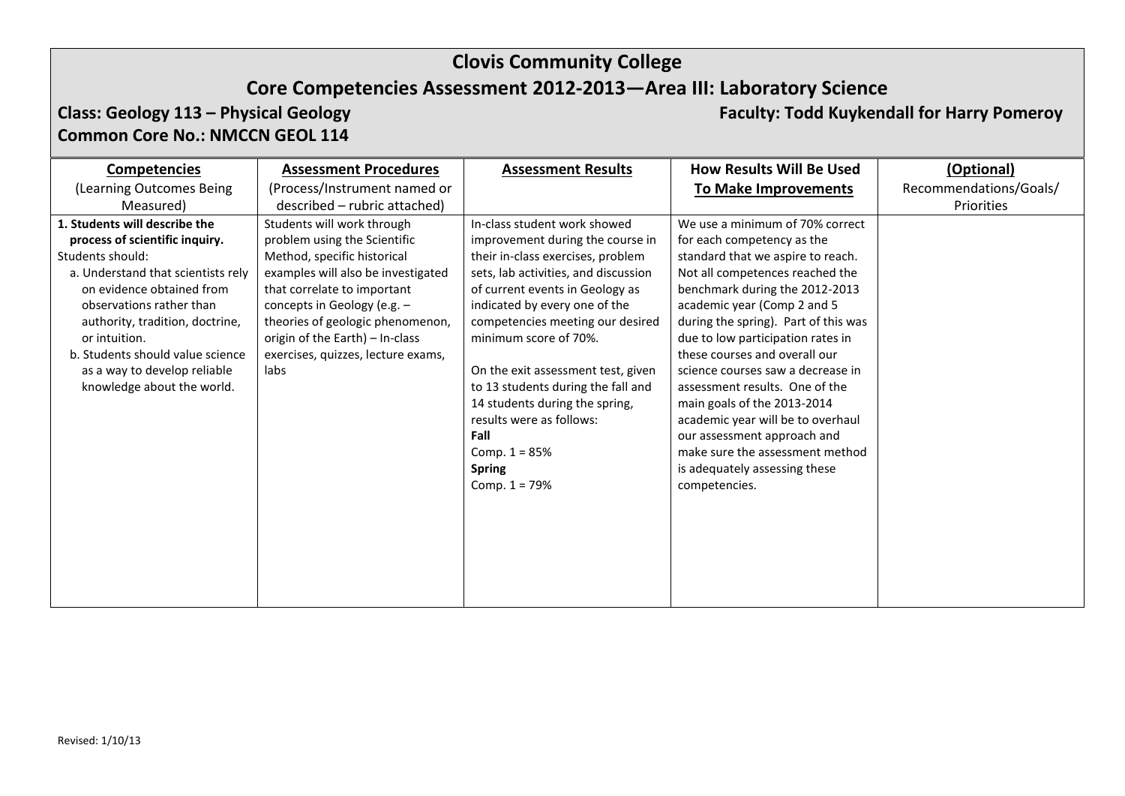# **Clovis Community College Core Competencies Assessment 2012-2013—Area III: Laboratory Science**

# **Common Core No.: NMCCN GEOL 114**

**Class: Geology 113 – Physical Geology Faculty: Todd Kuykendall for Harry Pomeroy**

|                                                                                                                                                                                                                                                                                                                                          | <b>Assessment Procedures</b>                                                                                                                                                                                                                                                                                       | <b>Assessment Results</b>                                                                                                                                                                                                                                                                                                                                                                                                                                                               | <b>How Results Will Be Used</b>                                                                                                                                                                                                                                                                                                                                                                                                                                                                                                                                                     | (Optional)             |
|------------------------------------------------------------------------------------------------------------------------------------------------------------------------------------------------------------------------------------------------------------------------------------------------------------------------------------------|--------------------------------------------------------------------------------------------------------------------------------------------------------------------------------------------------------------------------------------------------------------------------------------------------------------------|-----------------------------------------------------------------------------------------------------------------------------------------------------------------------------------------------------------------------------------------------------------------------------------------------------------------------------------------------------------------------------------------------------------------------------------------------------------------------------------------|-------------------------------------------------------------------------------------------------------------------------------------------------------------------------------------------------------------------------------------------------------------------------------------------------------------------------------------------------------------------------------------------------------------------------------------------------------------------------------------------------------------------------------------------------------------------------------------|------------------------|
| (Learning Outcomes Being                                                                                                                                                                                                                                                                                                                 | (Process/Instrument named or                                                                                                                                                                                                                                                                                       |                                                                                                                                                                                                                                                                                                                                                                                                                                                                                         | <b>To Make Improvements</b>                                                                                                                                                                                                                                                                                                                                                                                                                                                                                                                                                         | Recommendations/Goals/ |
| Measured)                                                                                                                                                                                                                                                                                                                                | described – rubric attached)                                                                                                                                                                                                                                                                                       |                                                                                                                                                                                                                                                                                                                                                                                                                                                                                         |                                                                                                                                                                                                                                                                                                                                                                                                                                                                                                                                                                                     | Priorities             |
| 1. Students will describe the<br>process of scientific inquiry.<br>Students should:<br>a. Understand that scientists rely<br>on evidence obtained from<br>observations rather than<br>authority, tradition, doctrine,<br>or intuition.<br>b. Students should value science<br>as a way to develop reliable<br>knowledge about the world. | Students will work through<br>problem using the Scientific<br>Method, specific historical<br>examples will also be investigated<br>that correlate to important<br>concepts in Geology (e.g. -<br>theories of geologic phenomenon,<br>origin of the Earth) - In-class<br>exercises, quizzes, lecture exams,<br>labs | In-class student work showed<br>improvement during the course in<br>their in-class exercises, problem<br>sets, lab activities, and discussion<br>of current events in Geology as<br>indicated by every one of the<br>competencies meeting our desired<br>minimum score of 70%.<br>On the exit assessment test, given<br>to 13 students during the fall and<br>14 students during the spring,<br>results were as follows:<br>Fall<br>Comp. $1 = 85%$<br><b>Spring</b><br>Comp. $1 = 79%$ | We use a minimum of 70% correct<br>for each competency as the<br>standard that we aspire to reach.<br>Not all competences reached the<br>benchmark during the 2012-2013<br>academic year (Comp 2 and 5<br>during the spring). Part of this was<br>due to low participation rates in<br>these courses and overall our<br>science courses saw a decrease in<br>assessment results. One of the<br>main goals of the 2013-2014<br>academic year will be to overhaul<br>our assessment approach and<br>make sure the assessment method<br>is adequately assessing these<br>competencies. |                        |
|                                                                                                                                                                                                                                                                                                                                          |                                                                                                                                                                                                                                                                                                                    |                                                                                                                                                                                                                                                                                                                                                                                                                                                                                         |                                                                                                                                                                                                                                                                                                                                                                                                                                                                                                                                                                                     |                        |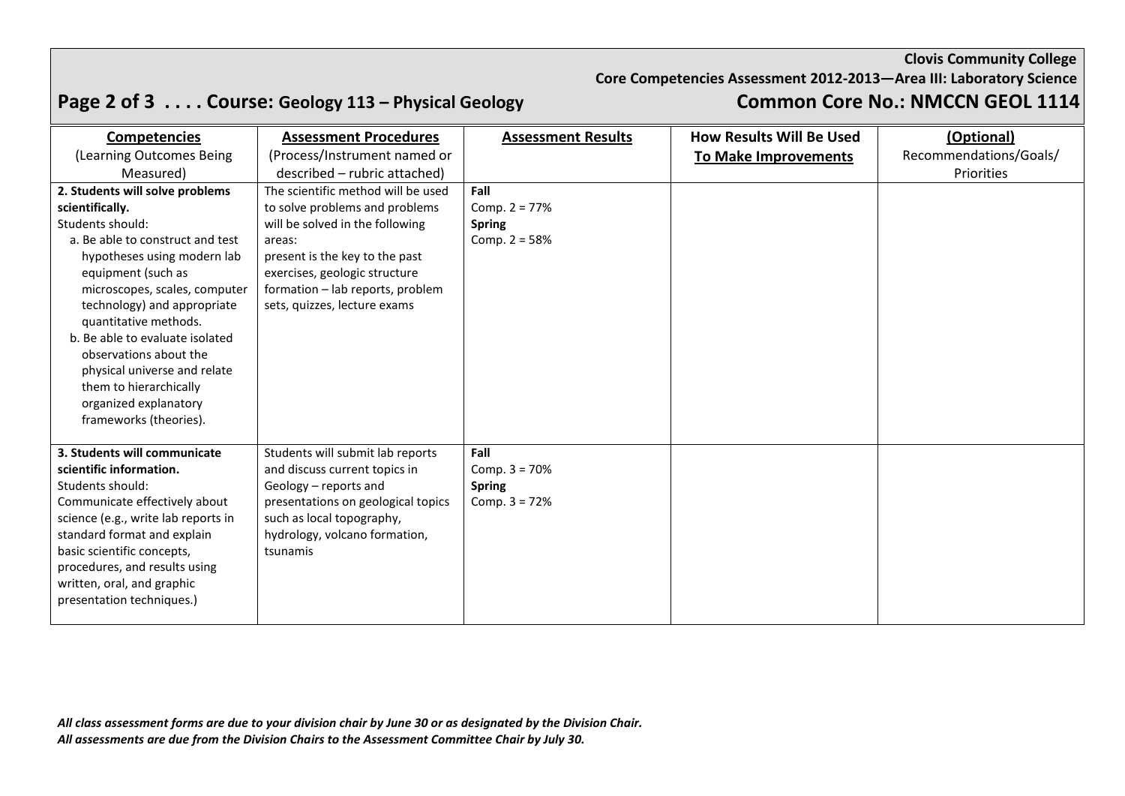### **Core Competencies Assessment 2012-2013—Area III: Laboratory Science**

# **Page 2 of 3 . . . . Course: Geology 113 – Physical Geology Common Core No.: NMCCN GEOL 1114**

| <b>Competencies</b>                 | <b>Assessment Procedures</b>       | <b>Assessment Results</b> | <b>How Results Will Be Used</b> | (Optional)             |
|-------------------------------------|------------------------------------|---------------------------|---------------------------------|------------------------|
| (Learning Outcomes Being            | (Process/Instrument named or       |                           | <b>To Make Improvements</b>     | Recommendations/Goals/ |
| Measured)                           | described - rubric attached)       |                           |                                 | Priorities             |
| 2. Students will solve problems     | The scientific method will be used | Fall                      |                                 |                        |
| scientifically.                     | to solve problems and problems     | Comp. $2 = 77%$           |                                 |                        |
| Students should:                    | will be solved in the following    | <b>Spring</b>             |                                 |                        |
| a. Be able to construct and test    | areas:                             | Comp. $2 = 58%$           |                                 |                        |
| hypotheses using modern lab         | present is the key to the past     |                           |                                 |                        |
| equipment (such as                  | exercises, geologic structure      |                           |                                 |                        |
| microscopes, scales, computer       | formation - lab reports, problem   |                           |                                 |                        |
| technology) and appropriate         | sets, quizzes, lecture exams       |                           |                                 |                        |
| quantitative methods.               |                                    |                           |                                 |                        |
| b. Be able to evaluate isolated     |                                    |                           |                                 |                        |
| observations about the              |                                    |                           |                                 |                        |
| physical universe and relate        |                                    |                           |                                 |                        |
| them to hierarchically              |                                    |                           |                                 |                        |
| organized explanatory               |                                    |                           |                                 |                        |
| frameworks (theories).              |                                    |                           |                                 |                        |
| 3. Students will communicate        | Students will submit lab reports   | Fall                      |                                 |                        |
| scientific information.             | and discuss current topics in      | Comp. $3 = 70%$           |                                 |                        |
| Students should:                    | Geology - reports and              | <b>Spring</b>             |                                 |                        |
| Communicate effectively about       | presentations on geological topics | Comp. $3 = 72%$           |                                 |                        |
| science (e.g., write lab reports in | such as local topography,          |                           |                                 |                        |
| standard format and explain         | hydrology, volcano formation,      |                           |                                 |                        |
| basic scientific concepts,          | tsunamis                           |                           |                                 |                        |
| procedures, and results using       |                                    |                           |                                 |                        |
| written, oral, and graphic          |                                    |                           |                                 |                        |
| presentation techniques.)           |                                    |                           |                                 |                        |
|                                     |                                    |                           |                                 |                        |

*All class assessment forms are due to your division chair by June 30 or as designated by the Division Chair. All assessments are due from the Division Chairs to the Assessment Committee Chair by July 30.*